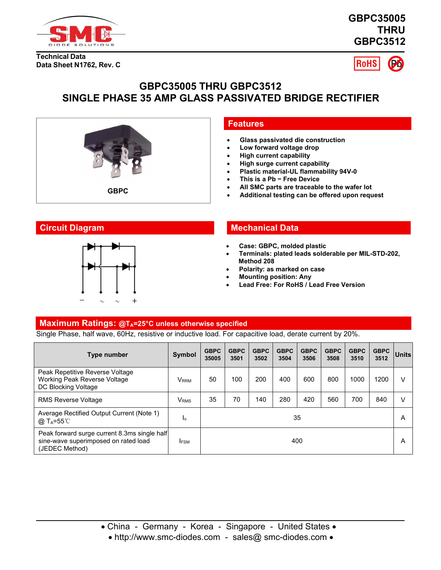

**GBPC35005 THRU GBPC3512**

**Technical Data Data Sheet N1762, Rev. C**



# **GBPC35005 THRU GBPC3512 SINGLE PHASE 35 AMP GLASS PASSIVATED BRIDGE RECTIFIER**



## **Low forward voltage drop**

**Features**

- **High current capability**
- **High surge current capability**
- **Plastic material-UL flammability 94V-0**

**Glass passivated die construction**

- **This is a Pb − Free Device**
- **All SMC parts are traceable to the wafer lot**
- 



## **Circuit Diagram Mechanical Data**

- **Case: GBPC, molded plastic**
- **Terminals: plated leads solderable per MIL-STD-202, Method 208**
- **Polarity: as marked on case**
- **Mounting position: Any**
- **Lead Free: For RoHS / Lead Free Version**

### **Maximum Ratings: @TA=25°C unless otherwise specified**

Single Phase, halfwave, 60Hz, resistive or inductive load. Forcapacitive load, derate current by 20%.

| Type number                                                                                            | <b>Symbol</b>    | <b>GBPC</b><br>35005 | <b>GBPC</b><br>3501 | <b>GBPC</b><br>3502 | <b>GBPC</b><br>3504 | <b>GBPC</b><br>3506 | <b>GBPC</b><br>3508 | <b>GBPC</b><br>3510 | <b>GBPC</b><br>3512 | <b>Units</b> |
|--------------------------------------------------------------------------------------------------------|------------------|----------------------|---------------------|---------------------|---------------------|---------------------|---------------------|---------------------|---------------------|--------------|
| Peak Repetitive Reverse Voltage<br>Working Peak Reverse Voltage<br>DC Blocking Voltage                 | V <sub>RRM</sub> | 50                   | 100                 | 200                 | 400                 | 600                 | 800                 | 1000                | 200                 |              |
| <b>RMS Reverse Voltage</b>                                                                             | <b>V</b> rms     | 35                   | 70                  | 140                 | 280                 | 420                 | 560                 | 700                 | 840                 | V            |
| Average Rectified Output Current (Note 1)<br>@ T <sub>A</sub> =55℃                                     | Ιo               |                      |                     |                     |                     | 35                  |                     |                     |                     | Α            |
| Peak forward surge current 8.3ms single half<br>sine-wave superimposed on rated load<br>(JEDEC Method) | <b>IFSM</b>      |                      |                     |                     |                     | 400                 |                     |                     |                     | A            |

• http://www.smc-diodes.com - sales@ smc-diodes.com •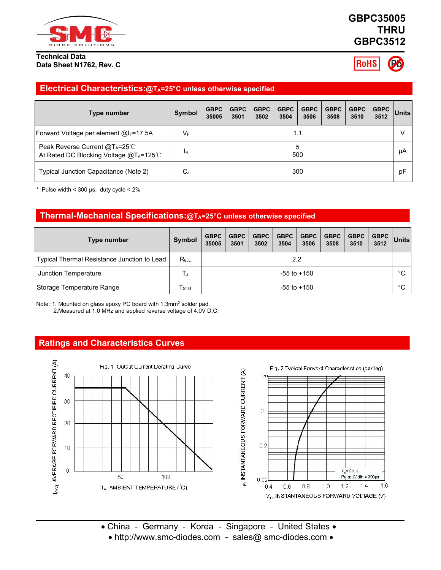

#### **Technical Data Data Sheet N1762, Rev. C**

# **GBPC35005 THRU GBPC3512**

**RoHS** 

## **Electrical Characteristics:@TA=25°C unless otherwise specified**

| Type number                                                                                     | <b>Symbol</b> | <b>GBPC</b><br>35005 | <b>GBPC</b><br>3501 | <b>GBPC</b><br>3502 | <b>GBPC</b><br>3504 | <b>GBPC</b><br>3506 | <b>GBPC</b><br>3508 | <b>GBPC</b><br>3510 | GBPC<br>3512 | <b>Units</b> |
|-------------------------------------------------------------------------------------------------|---------------|----------------------|---------------------|---------------------|---------------------|---------------------|---------------------|---------------------|--------------|--------------|
| Forward Voltage per element @IF=17.5A                                                           | $V_{\rm F}$   |                      |                     |                     |                     | 1.1                 |                     |                     |              |              |
| Peak Reverse Current @T <sub>A</sub> =25℃<br>At Rated DC Blocking Voltage @T <sub>A</sub> =125℃ | <b>IR</b>     |                      | 500                 |                     |                     |                     |                     |                     |              | μA           |
| Typical Junction Capacitance (Note 2)                                                           | ⌒<br>ιب       |                      |                     |                     |                     | 300                 |                     |                     |              | pF           |

\* Pulse width <  $300 \,\mu s$ , duty cycle <  $2\%$ 

## **Thermal-Mechanical Specifications:@TA=25°C unless otherwise specified**

| Type number                                 | Symbol                      | <b>GBPC</b><br>35005 | <b>GBPC</b><br>3501 | GBPC  <br>3502 | <b>GBPC</b><br>3504 | <b>GBPC</b><br>3506 | <b>GBPC</b><br>3508 | <b>GBPC</b><br>3510 | <b>GBPC</b><br>3512 | $ $ Units    |
|---------------------------------------------|-----------------------------|----------------------|---------------------|----------------|---------------------|---------------------|---------------------|---------------------|---------------------|--------------|
| Typical Thermal Resistance Junction to Lead | $R_{\theta$ JL              | 2.2                  |                     |                |                     |                     |                     |                     |                     |              |
| Junction Temperature                        |                             |                      | $-55$ to $+150$     |                |                     |                     |                     |                     |                     | $^{\circ}$ C |
| Storage Temperature Range                   | $\mathsf{T}_{\textsf{STG}}$ |                      |                     |                |                     | $-55$ to $+150$     |                     |                     |                     | $^{\circ}$ C |

Note: 1. Mounted on glass epoxy PC board with 1.3mm<sup>2</sup> solder pad. 2.Measured at 1.0 MHz and applied reverse voltage of 4.0V D.C.

### **Ratings and Characteristics Curves**



• China - Germany - Korea - Singapore - United States • • http://www.smc-diodes.com - sales@ smc-diodes.com •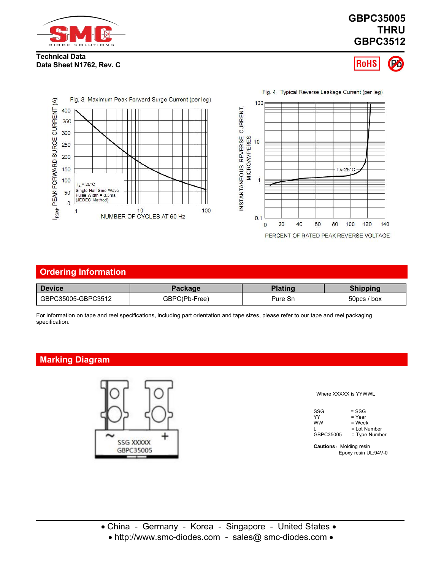

# **GBPC35005 THRU GBPC3512**

#### **Technical Data Data Sheet N1762, Rev. C**





| <b>Device</b>      | Package       | <b>Plating</b> | <b>Shipping</b> |
|--------------------|---------------|----------------|-----------------|
| GBPC35005-GBPC3512 | GBPC(Pb-Free) | Pure Sn        | 50pcs / box     |

For information on tape and reel specifications, including part orientation and tape sizes, please refer to our tape and reel packaging

# **Marking Diagram**



Where XXXXX is YYWWL

| SSG       | = SSG         |  |
|-----------|---------------|--|
| YY        | = Year        |  |
| <b>WW</b> | $=$ Week      |  |
|           | = Lot Number  |  |
| GBPC35005 | = Type Number |  |

**Cautions:** Molding resin Epoxy resin UL:94V-0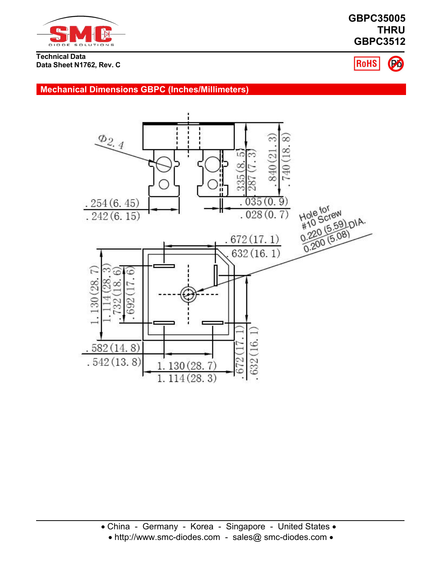

# **GBPC35005 THRU GBPC3512**

**Technical Data Data Sheet N1762, Rev. C**



**Mechanical Dimensions GBPC (Inches/Millimeters)**